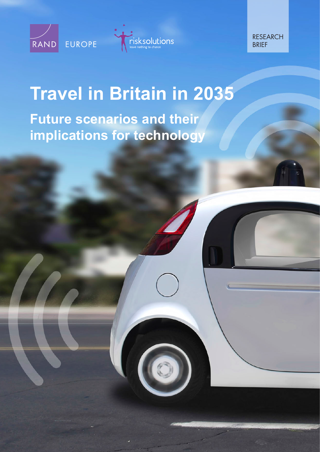



RESEARCH **BRIFF** 

# **[Travel in Britain in 2035](http://www.rand.org/pubs/research_briefs/RB9890.html)  Future scenarios and their implications for technology**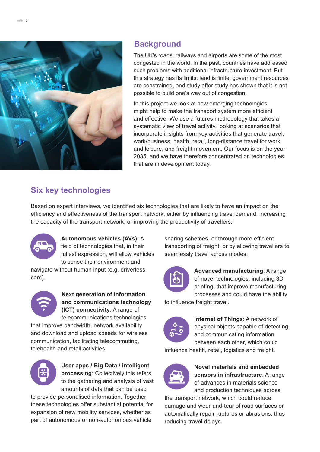

## **Background**

The UK's roads, railways and airports are some of the most congested in the world. In the past, countries have addressed such problems with additional infrastructure investment. But this strategy has its limits: land is finite, government resources are constrained, and study after study has shown that it is not possible to build one's way out of congestion.

In this project we look at how emerging technologies might help to make the transport system more efficient and effective. We use a futures methodology that takes a systematic view of travel activity, looking at scenarios that incorporate insights from key activities that generate travel: work/business, health, retail, long-distance travel for work and leisure, and freight movement. Our focus is on the year 2035, and we have therefore concentrated on technologies that are in development today.

## **Six key technologies**

Based on expert interviews, we identified six technologies that are likely to have an impact on the efficiency and effectiveness of the transport network, either by influencing travel demand, increasing the capacity of the transport network, or improving the productivity of travellers:



**Autonomous vehicles (AVs):** A field of technologies that, in their fullest expression, will allow vehicles to sense their environment and

navigate without human input (e.g. driverless cars).



**Next generation of information and communications technology (ICT) connectivity**: A range of telecommunications technologies

that improve bandwidth, network availability and download and upload speeds for wireless communication, facilitating telecommuting, telehealth and retail activities.



**User apps / Big Data / intelligent processing**: Collectively this refers to the gathering and analysis of vast amounts of data that can be used

to provide personalised information. Together these technologies offer substantial potential for expansion of new mobility services, whether as part of autonomous or non-autonomous vehicle

sharing schemes, or through more efficient transporting of freight, or by allowing travellers to seamlessly travel across modes.



**Advanced manufacturing**: A range of novel technologies, including 3D printing, that improve manufacturing processes and could have the ability

to influence freight travel.



**Internet of Things**: A network of physical objects capable of detecting and communicating information between each other, which could

influence health, retail, logistics and freight.



**Novel materials and embedded sensors in infrastructure**: A range of advances in materials science and production techniques across

the transport network, which could reduce damage and wear-and-tear of road surfaces or automatically repair ruptures or abrasions, thus reducing travel delays.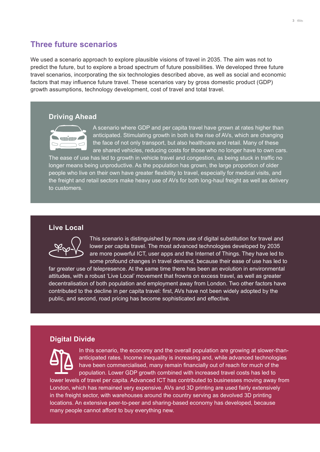### **Three future scenarios**

We used a scenario approach to explore plausible visions of travel in 2035. The aim was not to predict the future, but to explore a broad spectrum of future possibilities. We developed three future travel scenarios, incorporating the six technologies described above, as well as social and economic factors that may influence future travel. These scenarios vary by gross domestic product (GDP) growth assumptions, technology development, cost of travel and total travel.

#### **Driving Ahead**



A scenario where GDP and per capita travel have grown at rates higher than anticipated. Stimulating growth in both is the rise of AVs, which are changing the face of not only transport, but also healthcare and retail. Many of these are shared vehicles, reducing costs for those who no longer have to own cars.

The ease of use has led to growth in vehicle travel and congestion, as being stuck in traffic no longer means being unproductive. As the population has grown, the large proportion of older people who live on their own have greater flexibility to travel, especially for medical visits, and the freight and retail sectors make heavy use of AVs for both long-haul freight as well as delivery to customers.

#### **Live Local**



This scenario is distinguished by more use of digital substitution for travel and lower per capita travel. The most advanced technologies developed by 2035 are more powerful ICT, user apps and the Internet of Things. They have led to some profound changes in travel demand, because their ease of use has led to

far greater use of telepresence. At the same time there has been an evolution in environmental attitudes, with a robust 'Live Local' movement that frowns on excess travel, as well as greater decentralisation of both population and employment away from London. Two other factors have contributed to the decline in per capita travel: first, AVs have not been widely adopted by the public, and second, road pricing has become sophisticated and effective.

#### **Digital Divide**



In this scenario, the economy and the overall population are growing at slower-thananticipated rates. Income inequality is increasing and, while advanced technologies have been commercialised, many remain financially out of reach for much of the population. Lower GDP growth combined with increased travel costs has led to

lower levels of travel per capita. Advanced ICT has contributed to businesses moving away from London, which has remained very expensive. AVs and 3D printing are used fairly extensively in the freight sector, with warehouses around the country serving as devolved 3D printing locations. An extensive peer-to-peer and sharing-based economy has developed, because many people cannot afford to buy everything new.